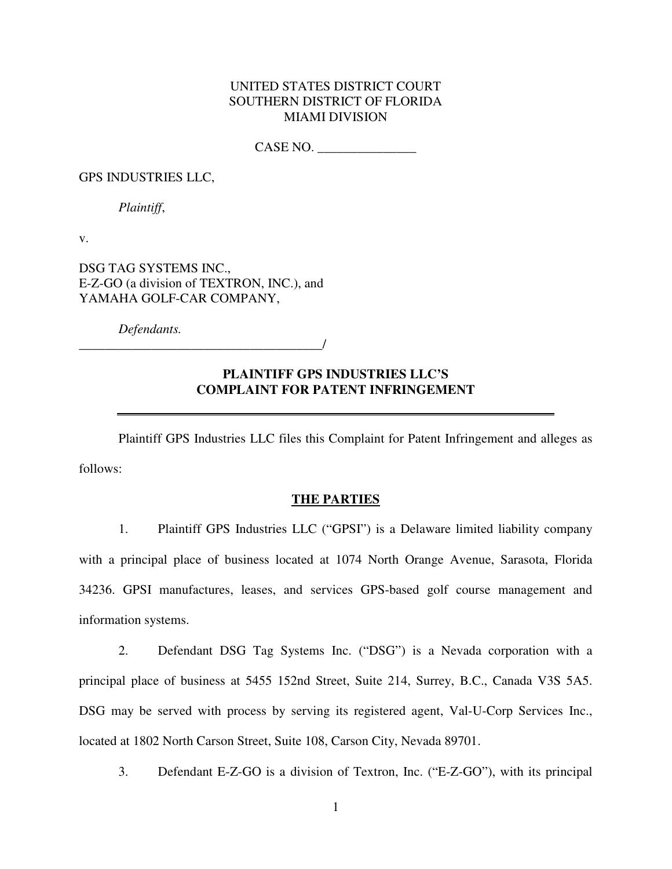## UNITED STATES DISTRICT COURT SOUTHERN DISTRICT OF FLORIDA MIAMI DIVISION

CASE NO. \_\_\_\_\_\_\_\_\_\_\_\_\_\_\_

GPS INDUSTRIES LLC,

*Plaintiff*,

v.

DSG TAG SYSTEMS INC., E-Z-GO (a division of TEXTRON, INC.), and YAMAHA GOLF-CAR COMPANY,

*Defendants.*

\_\_\_\_\_\_\_\_\_\_\_\_\_\_\_\_\_\_\_\_\_\_\_\_\_\_\_\_\_\_\_\_\_\_\_\_\_/

# **PLAINTIFF GPS INDUSTRIES LLC'S COMPLAINT FOR PATENT INFRINGEMENT**

 Plaintiff GPS Industries LLC files this Complaint for Patent Infringement and alleges as follows:

## **THE PARTIES**

1. Plaintiff GPS Industries LLC ("GPSI") is a Delaware limited liability company with a principal place of business located at 1074 North Orange Avenue, Sarasota, Florida 34236. GPSI manufactures, leases, and services GPS-based golf course management and information systems.

2. Defendant DSG Tag Systems Inc. ("DSG") is a Nevada corporation with a principal place of business at 5455 152nd Street, Suite 214, Surrey, B.C., Canada V3S 5A5. DSG may be served with process by serving its registered agent, Val-U-Corp Services Inc., located at 1802 North Carson Street, Suite 108, Carson City, Nevada 89701.

3. Defendant E-Z-GO is a division of Textron, Inc. ("E-Z-GO"), with its principal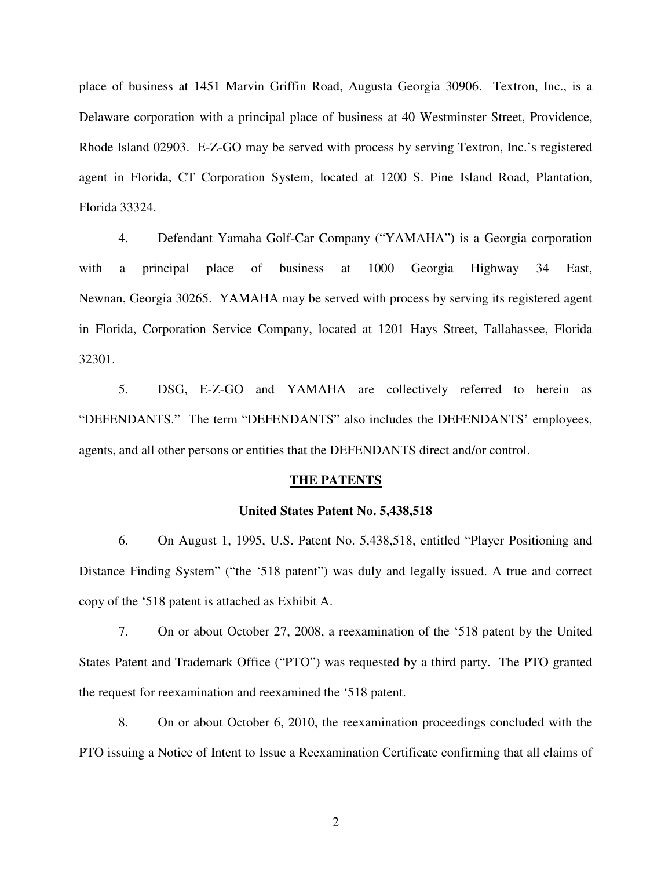place of business at 1451 Marvin Griffin Road, Augusta Georgia 30906. Textron, Inc., is a Delaware corporation with a principal place of business at 40 Westminster Street, Providence, Rhode Island 02903. E-Z-GO may be served with process by serving Textron, Inc.'s registered agent in Florida, CT Corporation System, located at 1200 S. Pine Island Road, Plantation, Florida 33324.

4. Defendant Yamaha Golf-Car Company ("YAMAHA") is a Georgia corporation with a principal place of business at 1000 Georgia Highway 34 East, Newnan, Georgia 30265. YAMAHA may be served with process by serving its registered agent in Florida, Corporation Service Company, located at 1201 Hays Street, Tallahassee, Florida 32301.

5. DSG, E-Z-GO and YAMAHA are collectively referred to herein as "DEFENDANTS." The term "DEFENDANTS" also includes the DEFENDANTS' employees, agents, and all other persons or entities that the DEFENDANTS direct and/or control.

#### **THE PATENTS**

#### **United States Patent No. 5,438,518**

6. On August 1, 1995, U.S. Patent No. 5,438,518, entitled "Player Positioning and Distance Finding System" ("the '518 patent") was duly and legally issued. A true and correct copy of the '518 patent is attached as Exhibit A.

7. On or about October 27, 2008, a reexamination of the '518 patent by the United States Patent and Trademark Office ("PTO") was requested by a third party. The PTO granted the request for reexamination and reexamined the '518 patent.

8. On or about October 6, 2010, the reexamination proceedings concluded with the PTO issuing a Notice of Intent to Issue a Reexamination Certificate confirming that all claims of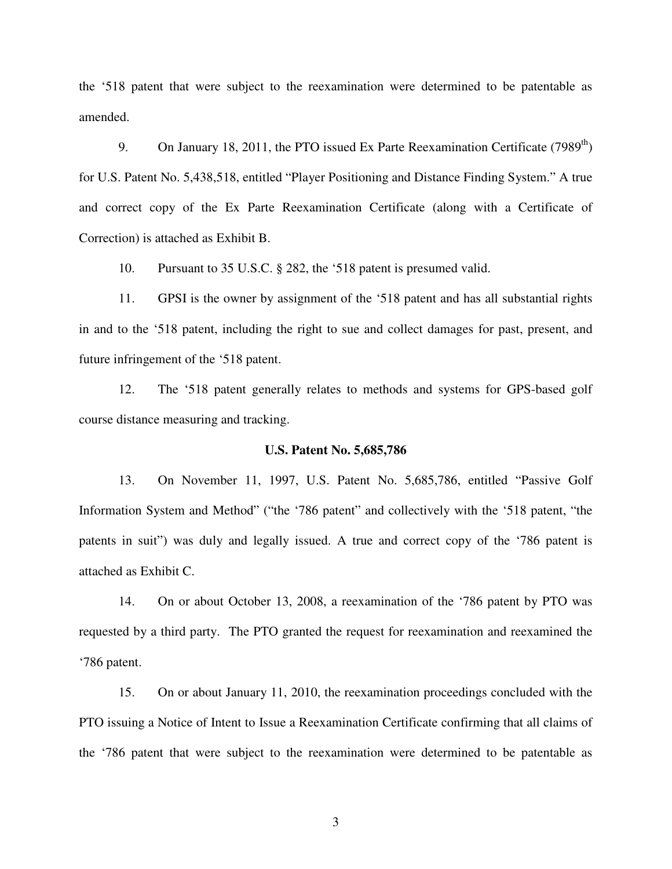the '518 patent that were subject to the reexamination were determined to be patentable as amended.

9. On January 18, 2011, the PTO issued Ex Parte Reexamination Certificate (7989<sup>th</sup>) for U.S. Patent No. 5,438,518, entitled "Player Positioning and Distance Finding System." A true and correct copy of the Ex Parte Reexamination Certificate (along with a Certificate of Correction) is attached as Exhibit B.

10. Pursuant to 35 U.S.C. § 282, the '518 patent is presumed valid.

11. GPSI is the owner by assignment of the '518 patent and has all substantial rights in and to the '518 patent, including the right to sue and collect damages for past, present, and future infringement of the '518 patent.

12. The '518 patent generally relates to methods and systems for GPS-based golf course distance measuring and tracking.

#### **U.S. Patent No. 5,685,786**

13. On November 11, 1997, U.S. Patent No. 5,685,786, entitled "Passive Golf Information System and Method" ("the '786 patent" and collectively with the '518 patent, "the patents in suit") was duly and legally issued. A true and correct copy of the '786 patent is attached as Exhibit C.

14. On or about October 13, 2008, a reexamination of the '786 patent by PTO was requested by a third party. The PTO granted the request for reexamination and reexamined the '786 patent.

15. On or about January 11, 2010, the reexamination proceedings concluded with the PTO issuing a Notice of Intent to Issue a Reexamination Certificate confirming that all claims of the '786 patent that were subject to the reexamination were determined to be patentable as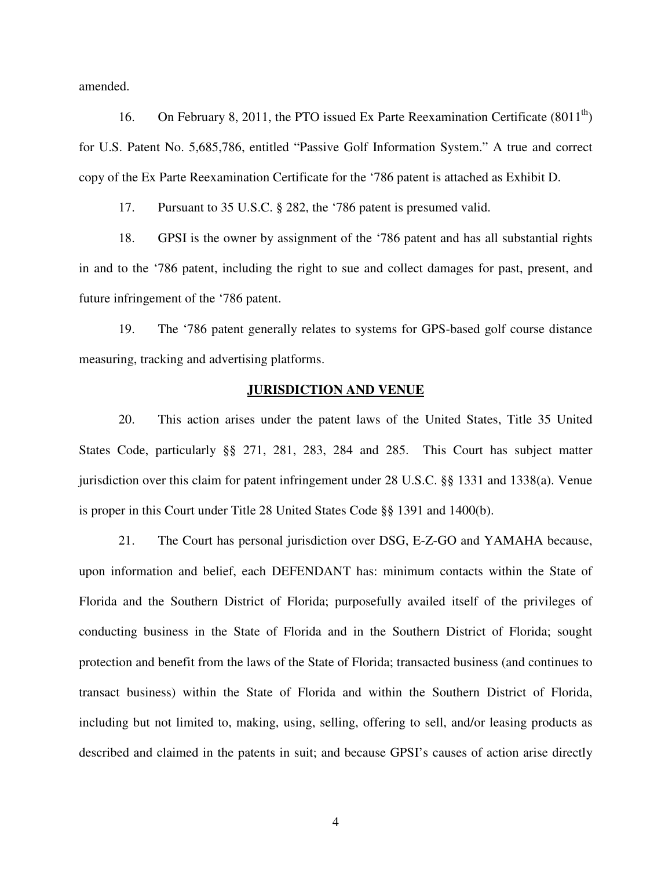amended.

16. On February 8, 2011, the PTO issued Ex Parte Reexamination Certificate  $(8011<sup>th</sup>)$ for U.S. Patent No. 5,685,786, entitled "Passive Golf Information System." A true and correct copy of the Ex Parte Reexamination Certificate for the '786 patent is attached as Exhibit D.

17. Pursuant to 35 U.S.C. § 282, the '786 patent is presumed valid.

18. GPSI is the owner by assignment of the '786 patent and has all substantial rights in and to the '786 patent, including the right to sue and collect damages for past, present, and future infringement of the '786 patent.

19. The '786 patent generally relates to systems for GPS-based golf course distance measuring, tracking and advertising platforms.

#### **JURISDICTION AND VENUE**

20. This action arises under the patent laws of the United States, Title 35 United States Code, particularly §§ 271, 281, 283, 284 and 285. This Court has subject matter jurisdiction over this claim for patent infringement under 28 U.S.C. §§ 1331 and 1338(a). Venue is proper in this Court under Title 28 United States Code §§ 1391 and 1400(b).

21. The Court has personal jurisdiction over DSG, E-Z-GO and YAMAHA because, upon information and belief, each DEFENDANT has: minimum contacts within the State of Florida and the Southern District of Florida; purposefully availed itself of the privileges of conducting business in the State of Florida and in the Southern District of Florida; sought protection and benefit from the laws of the State of Florida; transacted business (and continues to transact business) within the State of Florida and within the Southern District of Florida, including but not limited to, making, using, selling, offering to sell, and/or leasing products as described and claimed in the patents in suit; and because GPSI's causes of action arise directly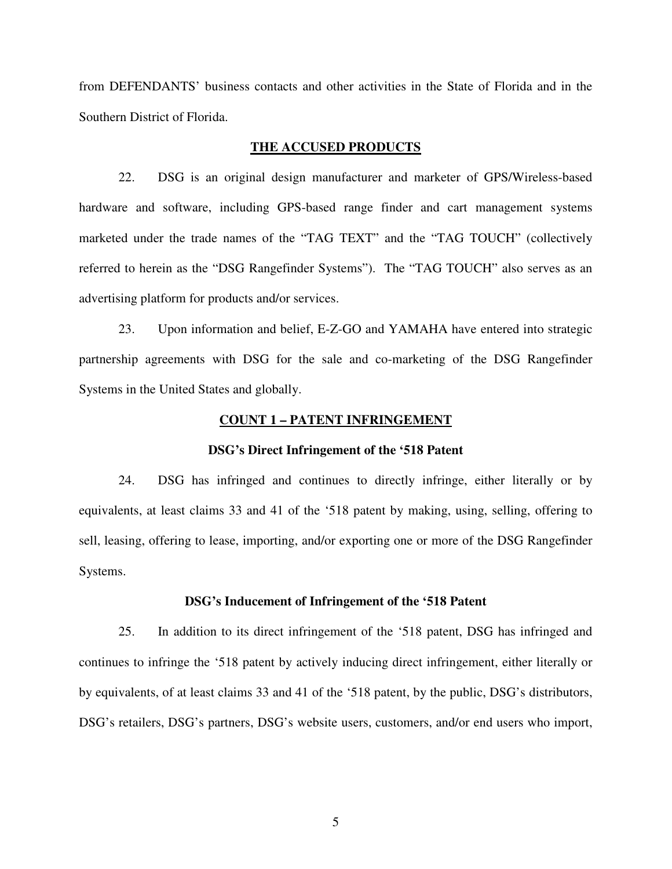from DEFENDANTS' business contacts and other activities in the State of Florida and in the Southern District of Florida.

### **THE ACCUSED PRODUCTS**

22. DSG is an original design manufacturer and marketer of GPS/Wireless-based hardware and software, including GPS-based range finder and cart management systems marketed under the trade names of the "TAG TEXT" and the "TAG TOUCH" (collectively referred to herein as the "DSG Rangefinder Systems"). The "TAG TOUCH" also serves as an advertising platform for products and/or services.

23. Upon information and belief, E-Z-GO and YAMAHA have entered into strategic partnership agreements with DSG for the sale and co-marketing of the DSG Rangefinder Systems in the United States and globally.

#### **COUNT 1 – PATENT INFRINGEMENT**

#### **DSG's Direct Infringement of the '518 Patent**

24. DSG has infringed and continues to directly infringe, either literally or by equivalents, at least claims 33 and 41 of the '518 patent by making, using, selling, offering to sell, leasing, offering to lease, importing, and/or exporting one or more of the DSG Rangefinder Systems.

#### **DSG's Inducement of Infringement of the '518 Patent**

25. In addition to its direct infringement of the '518 patent, DSG has infringed and continues to infringe the '518 patent by actively inducing direct infringement, either literally or by equivalents, of at least claims 33 and 41 of the '518 patent, by the public, DSG's distributors, DSG's retailers, DSG's partners, DSG's website users, customers, and/or end users who import,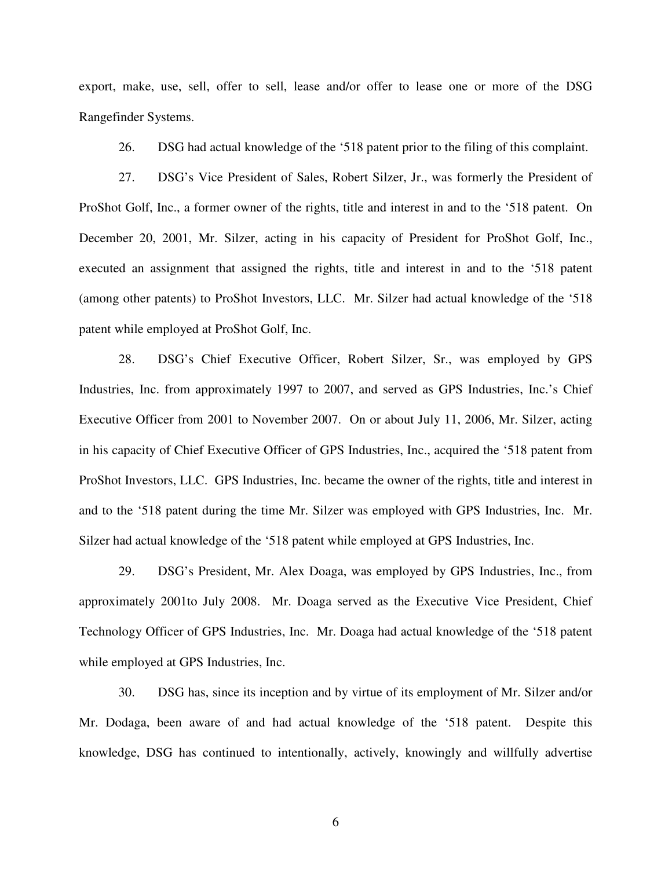export, make, use, sell, offer to sell, lease and/or offer to lease one or more of the DSG Rangefinder Systems.

26. DSG had actual knowledge of the '518 patent prior to the filing of this complaint.

27. DSG's Vice President of Sales, Robert Silzer, Jr., was formerly the President of ProShot Golf, Inc., a former owner of the rights, title and interest in and to the '518 patent. On December 20, 2001, Mr. Silzer, acting in his capacity of President for ProShot Golf, Inc., executed an assignment that assigned the rights, title and interest in and to the '518 patent (among other patents) to ProShot Investors, LLC. Mr. Silzer had actual knowledge of the '518 patent while employed at ProShot Golf, Inc.

28. DSG's Chief Executive Officer, Robert Silzer, Sr., was employed by GPS Industries, Inc. from approximately 1997 to 2007, and served as GPS Industries, Inc.'s Chief Executive Officer from 2001 to November 2007. On or about July 11, 2006, Mr. Silzer, acting in his capacity of Chief Executive Officer of GPS Industries, Inc., acquired the '518 patent from ProShot Investors, LLC. GPS Industries, Inc. became the owner of the rights, title and interest in and to the '518 patent during the time Mr. Silzer was employed with GPS Industries, Inc. Mr. Silzer had actual knowledge of the '518 patent while employed at GPS Industries, Inc.

29. DSG's President, Mr. Alex Doaga, was employed by GPS Industries, Inc., from approximately 2001to July 2008. Mr. Doaga served as the Executive Vice President, Chief Technology Officer of GPS Industries, Inc. Mr. Doaga had actual knowledge of the '518 patent while employed at GPS Industries, Inc.

30. DSG has, since its inception and by virtue of its employment of Mr. Silzer and/or Mr. Dodaga, been aware of and had actual knowledge of the '518 patent. Despite this knowledge, DSG has continued to intentionally, actively, knowingly and willfully advertise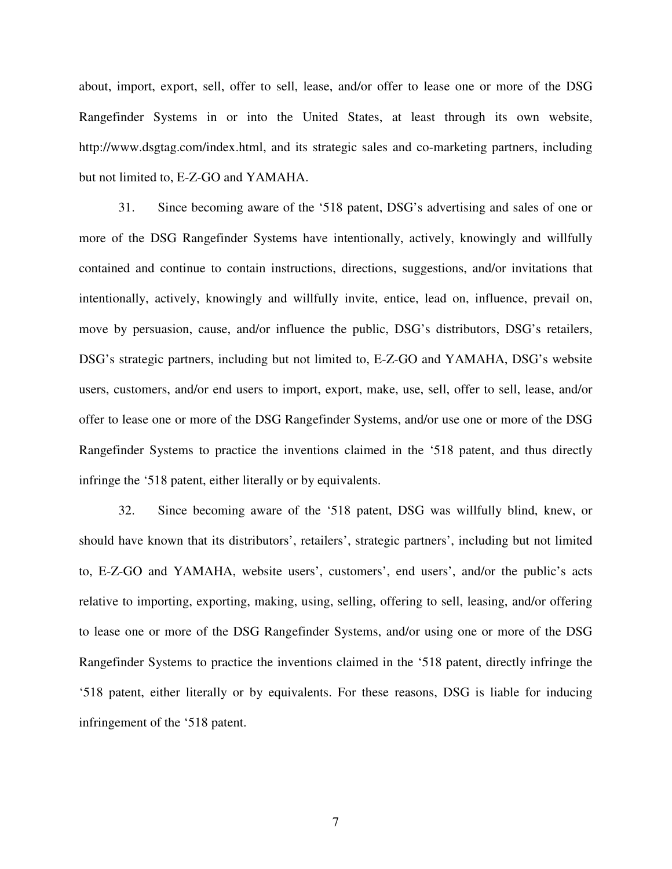about, import, export, sell, offer to sell, lease, and/or offer to lease one or more of the DSG Rangefinder Systems in or into the United States, at least through its own website, http://www.dsgtag.com/index.html, and its strategic sales and co-marketing partners, including but not limited to, E-Z-GO and YAMAHA.

31. Since becoming aware of the '518 patent, DSG's advertising and sales of one or more of the DSG Rangefinder Systems have intentionally, actively, knowingly and willfully contained and continue to contain instructions, directions, suggestions, and/or invitations that intentionally, actively, knowingly and willfully invite, entice, lead on, influence, prevail on, move by persuasion, cause, and/or influence the public, DSG's distributors, DSG's retailers, DSG's strategic partners, including but not limited to, E-Z-GO and YAMAHA, DSG's website users, customers, and/or end users to import, export, make, use, sell, offer to sell, lease, and/or offer to lease one or more of the DSG Rangefinder Systems, and/or use one or more of the DSG Rangefinder Systems to practice the inventions claimed in the '518 patent, and thus directly infringe the '518 patent, either literally or by equivalents.

32. Since becoming aware of the '518 patent, DSG was willfully blind, knew, or should have known that its distributors', retailers', strategic partners', including but not limited to, E-Z-GO and YAMAHA, website users', customers', end users', and/or the public's acts relative to importing, exporting, making, using, selling, offering to sell, leasing, and/or offering to lease one or more of the DSG Rangefinder Systems, and/or using one or more of the DSG Rangefinder Systems to practice the inventions claimed in the '518 patent, directly infringe the '518 patent, either literally or by equivalents. For these reasons, DSG is liable for inducing infringement of the '518 patent.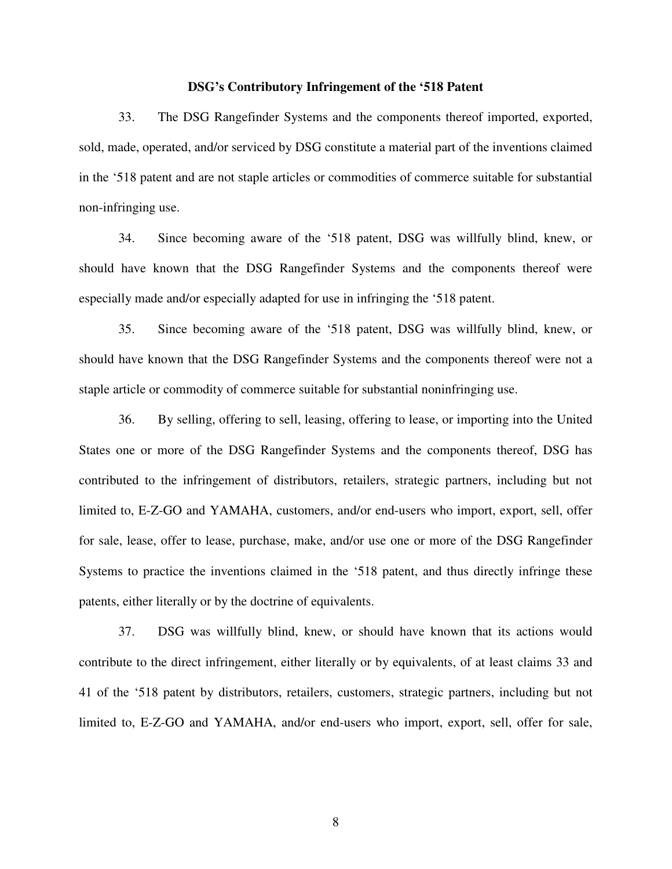#### **DSG's Contributory Infringement of the '518 Patent**

33. The DSG Rangefinder Systems and the components thereof imported, exported, sold, made, operated, and/or serviced by DSG constitute a material part of the inventions claimed in the '518 patent and are not staple articles or commodities of commerce suitable for substantial non-infringing use.

34. Since becoming aware of the '518 patent, DSG was willfully blind, knew, or should have known that the DSG Rangefinder Systems and the components thereof were especially made and/or especially adapted for use in infringing the '518 patent.

35. Since becoming aware of the '518 patent, DSG was willfully blind, knew, or should have known that the DSG Rangefinder Systems and the components thereof were not a staple article or commodity of commerce suitable for substantial noninfringing use.

36. By selling, offering to sell, leasing, offering to lease, or importing into the United States one or more of the DSG Rangefinder Systems and the components thereof, DSG has contributed to the infringement of distributors, retailers, strategic partners, including but not limited to, E-Z-GO and YAMAHA, customers, and/or end-users who import, export, sell, offer for sale, lease, offer to lease, purchase, make, and/or use one or more of the DSG Rangefinder Systems to practice the inventions claimed in the '518 patent, and thus directly infringe these patents, either literally or by the doctrine of equivalents.

37. DSG was willfully blind, knew, or should have known that its actions would contribute to the direct infringement, either literally or by equivalents, of at least claims 33 and 41 of the '518 patent by distributors, retailers, customers, strategic partners, including but not limited to, E-Z-GO and YAMAHA, and/or end-users who import, export, sell, offer for sale,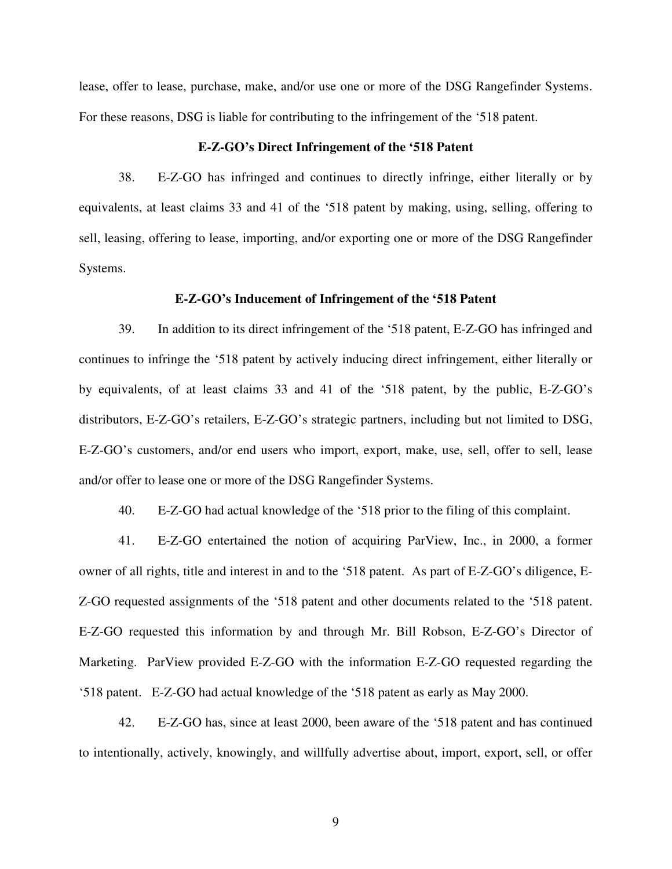lease, offer to lease, purchase, make, and/or use one or more of the DSG Rangefinder Systems. For these reasons, DSG is liable for contributing to the infringement of the '518 patent.

### **E-Z-GO's Direct Infringement of the '518 Patent**

38. E-Z-GO has infringed and continues to directly infringe, either literally or by equivalents, at least claims 33 and 41 of the '518 patent by making, using, selling, offering to sell, leasing, offering to lease, importing, and/or exporting one or more of the DSG Rangefinder Systems.

#### **E-Z-GO's Inducement of Infringement of the '518 Patent**

39. In addition to its direct infringement of the '518 patent, E-Z-GO has infringed and continues to infringe the '518 patent by actively inducing direct infringement, either literally or by equivalents, of at least claims 33 and 41 of the '518 patent, by the public, E-Z-GO's distributors, E-Z-GO's retailers, E-Z-GO's strategic partners, including but not limited to DSG, E-Z-GO's customers, and/or end users who import, export, make, use, sell, offer to sell, lease and/or offer to lease one or more of the DSG Rangefinder Systems.

40. E-Z-GO had actual knowledge of the '518 prior to the filing of this complaint.

41. E-Z-GO entertained the notion of acquiring ParView, Inc., in 2000, a former owner of all rights, title and interest in and to the '518 patent. As part of E-Z-GO's diligence, E-Z-GO requested assignments of the '518 patent and other documents related to the '518 patent. E-Z-GO requested this information by and through Mr. Bill Robson, E-Z-GO's Director of Marketing. ParView provided E-Z-GO with the information E-Z-GO requested regarding the '518 patent. E-Z-GO had actual knowledge of the '518 patent as early as May 2000.

42. E-Z-GO has, since at least 2000, been aware of the '518 patent and has continued to intentionally, actively, knowingly, and willfully advertise about, import, export, sell, or offer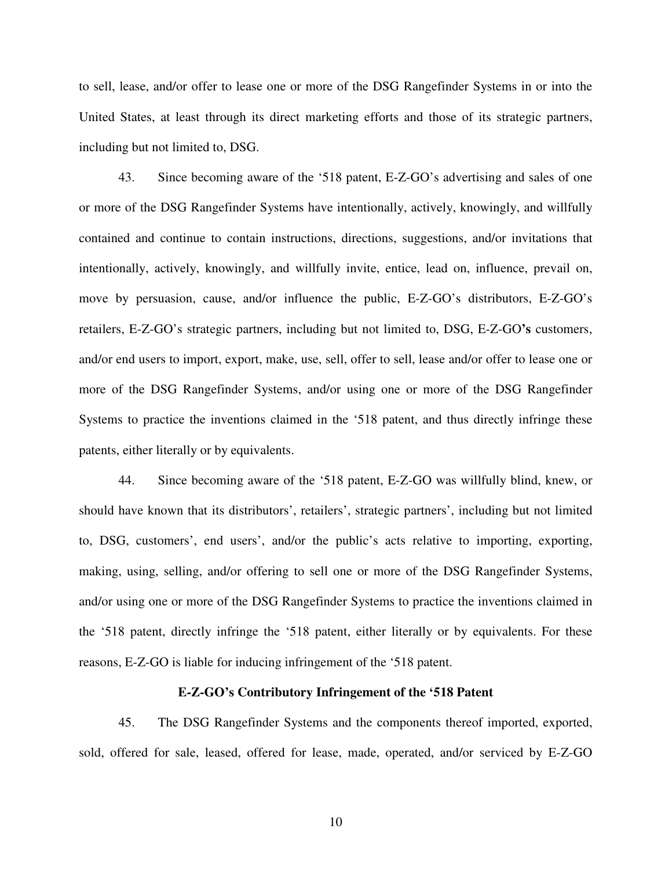to sell, lease, and/or offer to lease one or more of the DSG Rangefinder Systems in or into the United States, at least through its direct marketing efforts and those of its strategic partners, including but not limited to, DSG.

43. Since becoming aware of the '518 patent, E-Z-GO's advertising and sales of one or more of the DSG Rangefinder Systems have intentionally, actively, knowingly, and willfully contained and continue to contain instructions, directions, suggestions, and/or invitations that intentionally, actively, knowingly, and willfully invite, entice, lead on, influence, prevail on, move by persuasion, cause, and/or influence the public, E-Z-GO's distributors, E-Z-GO's retailers, E-Z-GO's strategic partners, including but not limited to, DSG, E-Z-GO**'s** customers, and/or end users to import, export, make, use, sell, offer to sell, lease and/or offer to lease one or more of the DSG Rangefinder Systems, and/or using one or more of the DSG Rangefinder Systems to practice the inventions claimed in the '518 patent, and thus directly infringe these patents, either literally or by equivalents.

44. Since becoming aware of the '518 patent, E-Z-GO was willfully blind, knew, or should have known that its distributors', retailers', strategic partners', including but not limited to, DSG, customers', end users', and/or the public's acts relative to importing, exporting, making, using, selling, and/or offering to sell one or more of the DSG Rangefinder Systems, and/or using one or more of the DSG Rangefinder Systems to practice the inventions claimed in the '518 patent, directly infringe the '518 patent, either literally or by equivalents. For these reasons, E-Z-GO is liable for inducing infringement of the '518 patent.

## **E-Z-GO's Contributory Infringement of the '518 Patent**

45. The DSG Rangefinder Systems and the components thereof imported, exported, sold, offered for sale, leased, offered for lease, made, operated, and/or serviced by E-Z-GO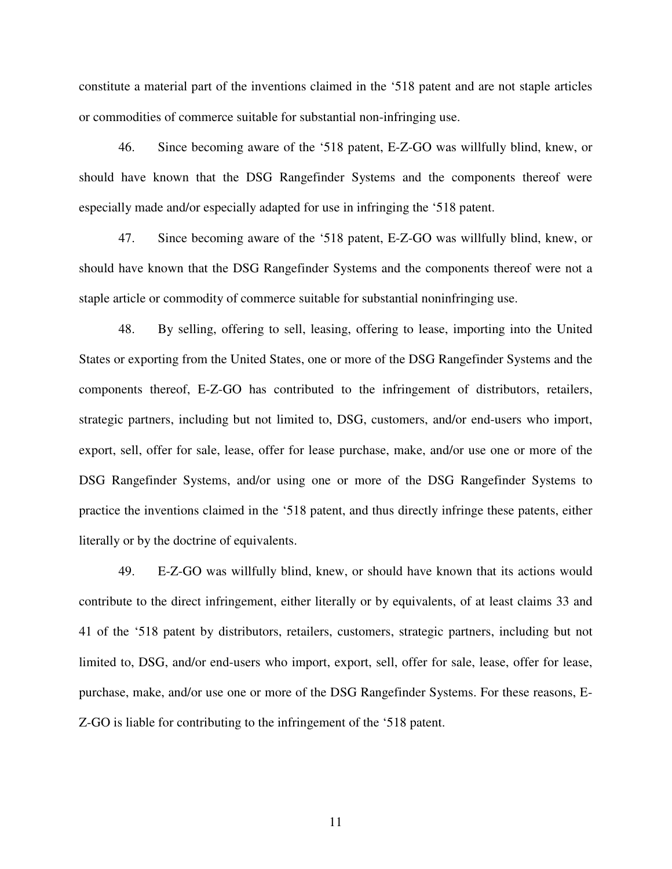constitute a material part of the inventions claimed in the '518 patent and are not staple articles or commodities of commerce suitable for substantial non-infringing use.

46. Since becoming aware of the '518 patent, E-Z-GO was willfully blind, knew, or should have known that the DSG Rangefinder Systems and the components thereof were especially made and/or especially adapted for use in infringing the '518 patent.

47. Since becoming aware of the '518 patent, E-Z-GO was willfully blind, knew, or should have known that the DSG Rangefinder Systems and the components thereof were not a staple article or commodity of commerce suitable for substantial noninfringing use.

48. By selling, offering to sell, leasing, offering to lease, importing into the United States or exporting from the United States, one or more of the DSG Rangefinder Systems and the components thereof, E-Z-GO has contributed to the infringement of distributors, retailers, strategic partners, including but not limited to, DSG, customers, and/or end-users who import, export, sell, offer for sale, lease, offer for lease purchase, make, and/or use one or more of the DSG Rangefinder Systems, and/or using one or more of the DSG Rangefinder Systems to practice the inventions claimed in the '518 patent, and thus directly infringe these patents, either literally or by the doctrine of equivalents.

49. E-Z-GO was willfully blind, knew, or should have known that its actions would contribute to the direct infringement, either literally or by equivalents, of at least claims 33 and 41 of the '518 patent by distributors, retailers, customers, strategic partners, including but not limited to, DSG, and/or end-users who import, export, sell, offer for sale, lease, offer for lease, purchase, make, and/or use one or more of the DSG Rangefinder Systems. For these reasons, E-Z-GO is liable for contributing to the infringement of the '518 patent.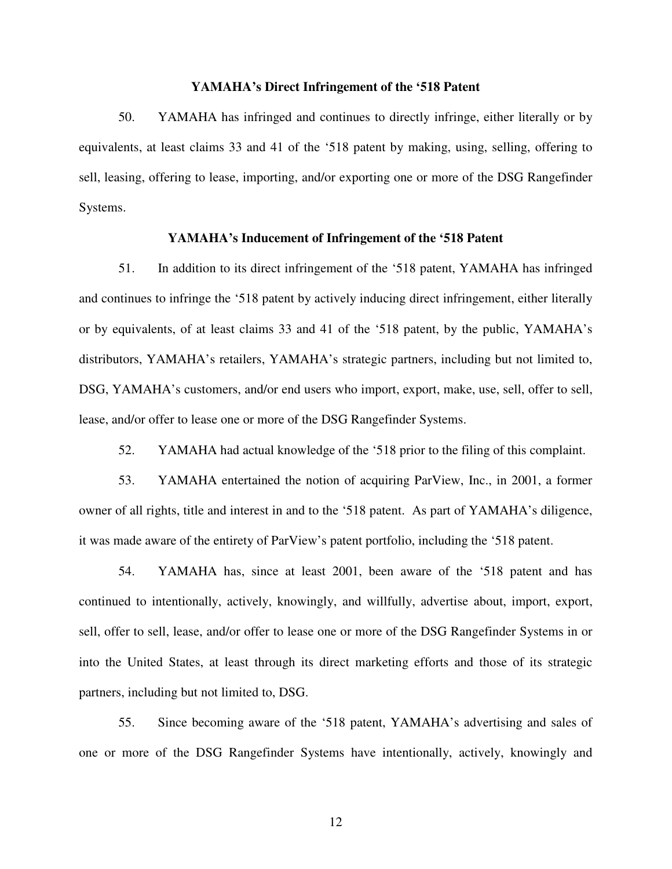#### **YAMAHA's Direct Infringement of the '518 Patent**

50. YAMAHA has infringed and continues to directly infringe, either literally or by equivalents, at least claims 33 and 41 of the '518 patent by making, using, selling, offering to sell, leasing, offering to lease, importing, and/or exporting one or more of the DSG Rangefinder Systems.

## **YAMAHA's Inducement of Infringement of the '518 Patent**

51. In addition to its direct infringement of the '518 patent, YAMAHA has infringed and continues to infringe the '518 patent by actively inducing direct infringement, either literally or by equivalents, of at least claims 33 and 41 of the '518 patent, by the public, YAMAHA's distributors, YAMAHA's retailers, YAMAHA's strategic partners, including but not limited to, DSG, YAMAHA's customers, and/or end users who import, export, make, use, sell, offer to sell, lease, and/or offer to lease one or more of the DSG Rangefinder Systems.

52. YAMAHA had actual knowledge of the '518 prior to the filing of this complaint.

53. YAMAHA entertained the notion of acquiring ParView, Inc., in 2001, a former owner of all rights, title and interest in and to the '518 patent. As part of YAMAHA's diligence, it was made aware of the entirety of ParView's patent portfolio, including the '518 patent.

54. YAMAHA has, since at least 2001, been aware of the '518 patent and has continued to intentionally, actively, knowingly, and willfully, advertise about, import, export, sell, offer to sell, lease, and/or offer to lease one or more of the DSG Rangefinder Systems in or into the United States, at least through its direct marketing efforts and those of its strategic partners, including but not limited to, DSG.

55. Since becoming aware of the '518 patent, YAMAHA's advertising and sales of one or more of the DSG Rangefinder Systems have intentionally, actively, knowingly and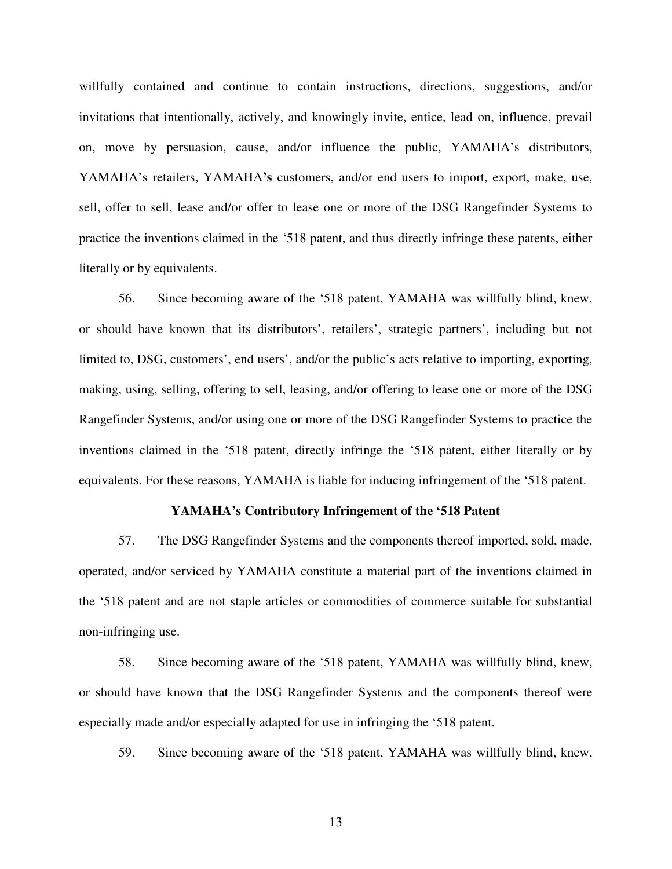willfully contained and continue to contain instructions, directions, suggestions, and/or invitations that intentionally, actively, and knowingly invite, entice, lead on, influence, prevail on, move by persuasion, cause, and/or influence the public, YAMAHA's distributors, YAMAHA's retailers, YAMAHA**'s** customers, and/or end users to import, export, make, use, sell, offer to sell, lease and/or offer to lease one or more of the DSG Rangefinder Systems to practice the inventions claimed in the '518 patent, and thus directly infringe these patents, either literally or by equivalents.

56. Since becoming aware of the '518 patent, YAMAHA was willfully blind, knew, or should have known that its distributors', retailers', strategic partners', including but not limited to, DSG, customers', end users', and/or the public's acts relative to importing, exporting, making, using, selling, offering to sell, leasing, and/or offering to lease one or more of the DSG Rangefinder Systems, and/or using one or more of the DSG Rangefinder Systems to practice the inventions claimed in the '518 patent, directly infringe the '518 patent, either literally or by equivalents. For these reasons, YAMAHA is liable for inducing infringement of the '518 patent.

### **YAMAHA's Contributory Infringement of the '518 Patent**

57. The DSG Rangefinder Systems and the components thereof imported, sold, made, operated, and/or serviced by YAMAHA constitute a material part of the inventions claimed in the '518 patent and are not staple articles or commodities of commerce suitable for substantial non-infringing use.

58. Since becoming aware of the '518 patent, YAMAHA was willfully blind, knew, or should have known that the DSG Rangefinder Systems and the components thereof were especially made and/or especially adapted for use in infringing the '518 patent.

59. Since becoming aware of the '518 patent, YAMAHA was willfully blind, knew,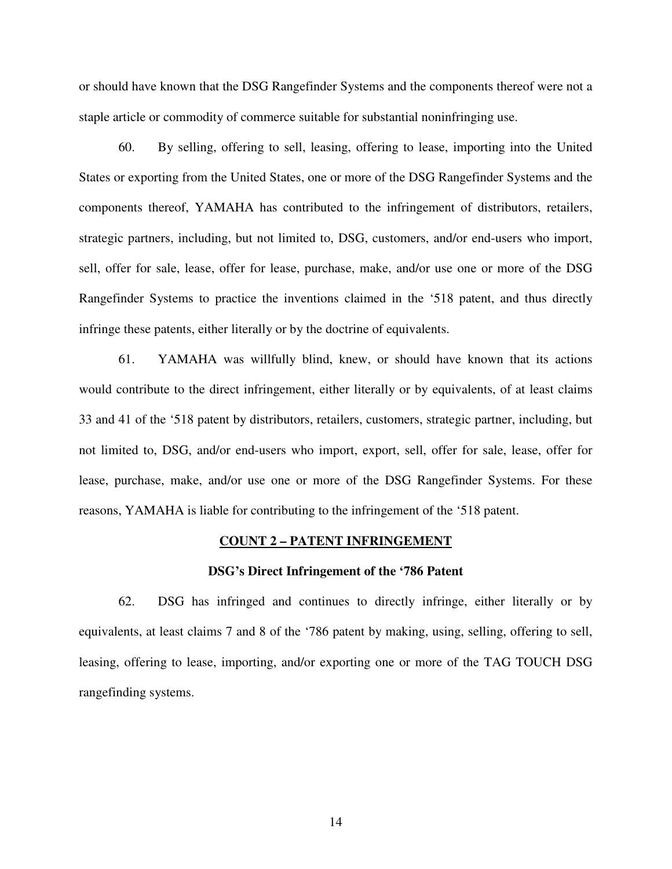or should have known that the DSG Rangefinder Systems and the components thereof were not a staple article or commodity of commerce suitable for substantial noninfringing use.

60. By selling, offering to sell, leasing, offering to lease, importing into the United States or exporting from the United States, one or more of the DSG Rangefinder Systems and the components thereof, YAMAHA has contributed to the infringement of distributors, retailers, strategic partners, including, but not limited to, DSG, customers, and/or end-users who import, sell, offer for sale, lease, offer for lease, purchase, make, and/or use one or more of the DSG Rangefinder Systems to practice the inventions claimed in the '518 patent, and thus directly infringe these patents, either literally or by the doctrine of equivalents.

61. YAMAHA was willfully blind, knew, or should have known that its actions would contribute to the direct infringement, either literally or by equivalents, of at least claims 33 and 41 of the '518 patent by distributors, retailers, customers, strategic partner, including, but not limited to, DSG, and/or end-users who import, export, sell, offer for sale, lease, offer for lease, purchase, make, and/or use one or more of the DSG Rangefinder Systems. For these reasons, YAMAHA is liable for contributing to the infringement of the '518 patent.

#### **COUNT 2 – PATENT INFRINGEMENT**

#### **DSG's Direct Infringement of the '786 Patent**

62. DSG has infringed and continues to directly infringe, either literally or by equivalents, at least claims 7 and 8 of the '786 patent by making, using, selling, offering to sell, leasing, offering to lease, importing, and/or exporting one or more of the TAG TOUCH DSG rangefinding systems.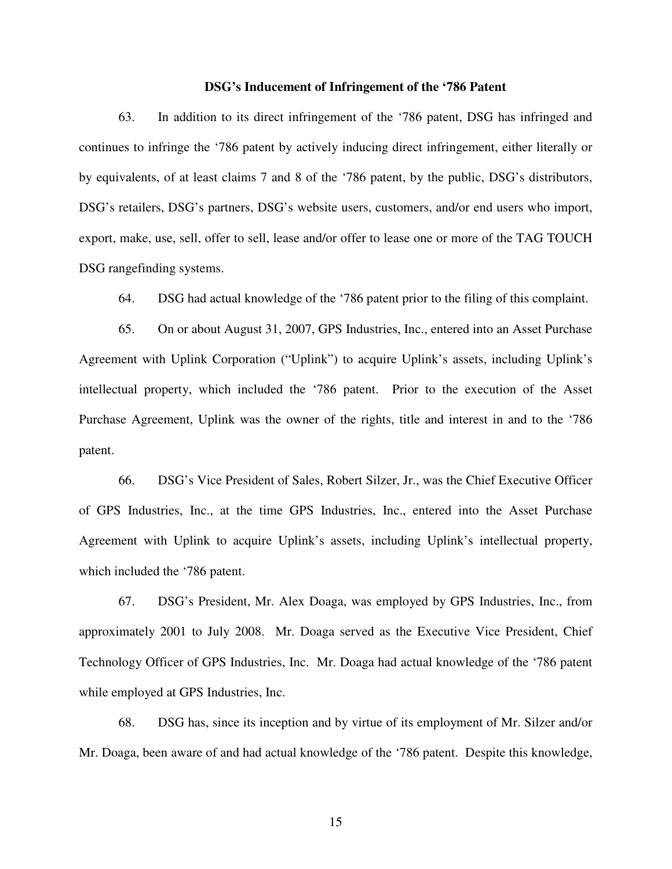#### **DSG's Inducement of Infringement of the '786 Patent**

63. In addition to its direct infringement of the '786 patent, DSG has infringed and continues to infringe the '786 patent by actively inducing direct infringement, either literally or by equivalents, of at least claims 7 and 8 of the '786 patent, by the public, DSG's distributors, DSG's retailers, DSG's partners, DSG's website users, customers, and/or end users who import, export, make, use, sell, offer to sell, lease and/or offer to lease one or more of the TAG TOUCH DSG rangefinding systems.

64. DSG had actual knowledge of the '786 patent prior to the filing of this complaint.

65. On or about August 31, 2007, GPS Industries, Inc., entered into an Asset Purchase Agreement with Uplink Corporation ("Uplink") to acquire Uplink's assets, including Uplink's intellectual property, which included the '786 patent. Prior to the execution of the Asset Purchase Agreement, Uplink was the owner of the rights, title and interest in and to the '786 patent.

66. DSG's Vice President of Sales, Robert Silzer, Jr., was the Chief Executive Officer of GPS Industries, Inc., at the time GPS Industries, Inc., entered into the Asset Purchase Agreement with Uplink to acquire Uplink's assets, including Uplink's intellectual property, which included the '786 patent.

67. DSG's President, Mr. Alex Doaga, was employed by GPS Industries, Inc., from approximately 2001 to July 2008. Mr. Doaga served as the Executive Vice President, Chief Technology Officer of GPS Industries, Inc. Mr. Doaga had actual knowledge of the '786 patent while employed at GPS Industries, Inc.

68. DSG has, since its inception and by virtue of its employment of Mr. Silzer and/or Mr. Doaga, been aware of and had actual knowledge of the '786 patent. Despite this knowledge,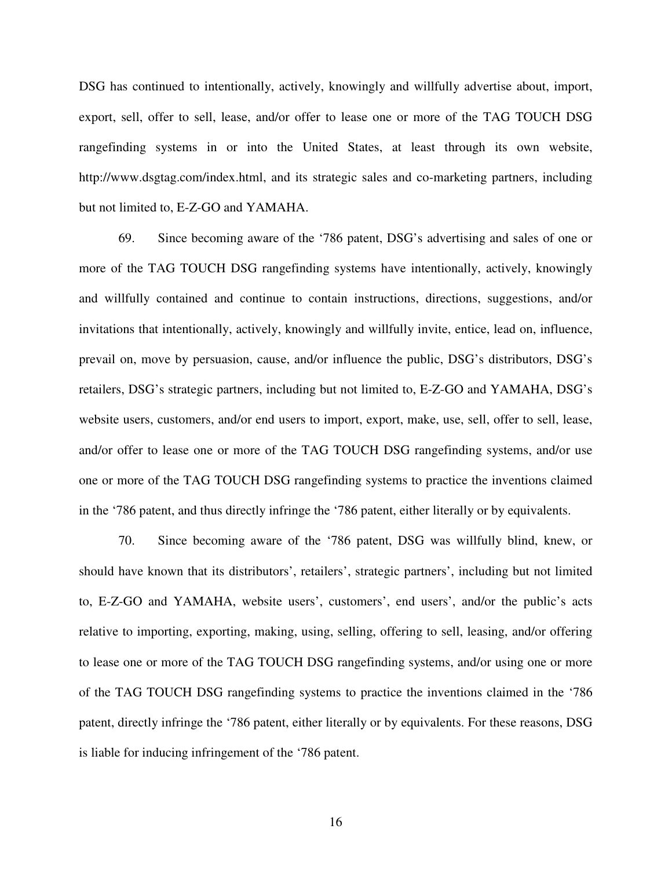DSG has continued to intentionally, actively, knowingly and willfully advertise about, import, export, sell, offer to sell, lease, and/or offer to lease one or more of the TAG TOUCH DSG rangefinding systems in or into the United States, at least through its own website, http://www.dsgtag.com/index.html, and its strategic sales and co-marketing partners, including but not limited to, E-Z-GO and YAMAHA.

69. Since becoming aware of the '786 patent, DSG's advertising and sales of one or more of the TAG TOUCH DSG rangefinding systems have intentionally, actively, knowingly and willfully contained and continue to contain instructions, directions, suggestions, and/or invitations that intentionally, actively, knowingly and willfully invite, entice, lead on, influence, prevail on, move by persuasion, cause, and/or influence the public, DSG's distributors, DSG's retailers, DSG's strategic partners, including but not limited to, E-Z-GO and YAMAHA, DSG's website users, customers, and/or end users to import, export, make, use, sell, offer to sell, lease, and/or offer to lease one or more of the TAG TOUCH DSG rangefinding systems, and/or use one or more of the TAG TOUCH DSG rangefinding systems to practice the inventions claimed in the '786 patent, and thus directly infringe the '786 patent, either literally or by equivalents.

70. Since becoming aware of the '786 patent, DSG was willfully blind, knew, or should have known that its distributors', retailers', strategic partners', including but not limited to, E-Z-GO and YAMAHA, website users', customers', end users', and/or the public's acts relative to importing, exporting, making, using, selling, offering to sell, leasing, and/or offering to lease one or more of the TAG TOUCH DSG rangefinding systems, and/or using one or more of the TAG TOUCH DSG rangefinding systems to practice the inventions claimed in the '786 patent, directly infringe the '786 patent, either literally or by equivalents. For these reasons, DSG is liable for inducing infringement of the '786 patent.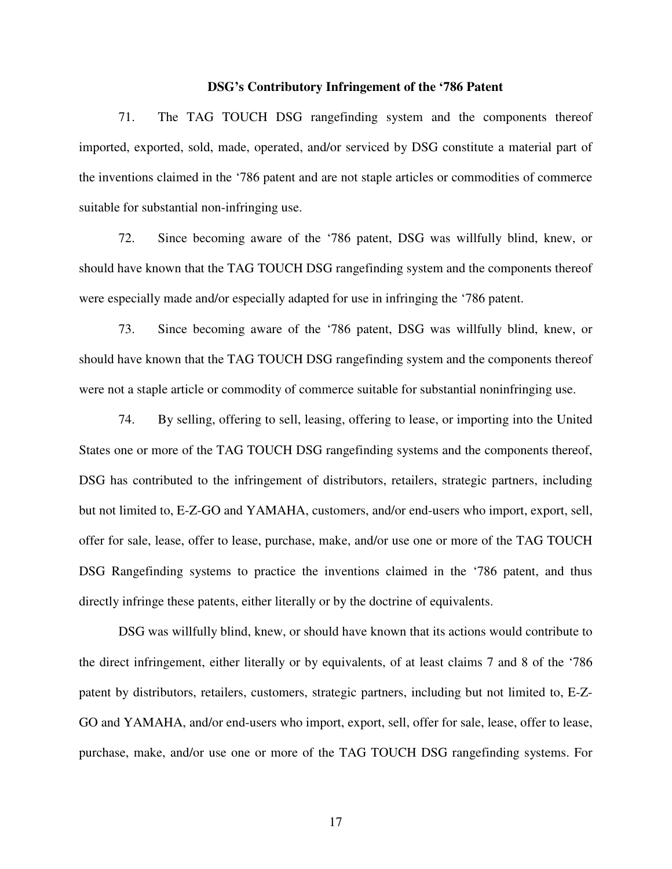#### **DSG's Contributory Infringement of the '786 Patent**

71. The TAG TOUCH DSG rangefinding system and the components thereof imported, exported, sold, made, operated, and/or serviced by DSG constitute a material part of the inventions claimed in the '786 patent and are not staple articles or commodities of commerce suitable for substantial non-infringing use.

72. Since becoming aware of the '786 patent, DSG was willfully blind, knew, or should have known that the TAG TOUCH DSG rangefinding system and the components thereof were especially made and/or especially adapted for use in infringing the '786 patent.

73. Since becoming aware of the '786 patent, DSG was willfully blind, knew, or should have known that the TAG TOUCH DSG rangefinding system and the components thereof were not a staple article or commodity of commerce suitable for substantial noninfringing use.

74. By selling, offering to sell, leasing, offering to lease, or importing into the United States one or more of the TAG TOUCH DSG rangefinding systems and the components thereof, DSG has contributed to the infringement of distributors, retailers, strategic partners, including but not limited to, E-Z-GO and YAMAHA, customers, and/or end-users who import, export, sell, offer for sale, lease, offer to lease, purchase, make, and/or use one or more of the TAG TOUCH DSG Rangefinding systems to practice the inventions claimed in the '786 patent, and thus directly infringe these patents, either literally or by the doctrine of equivalents.

DSG was willfully blind, knew, or should have known that its actions would contribute to the direct infringement, either literally or by equivalents, of at least claims 7 and 8 of the '786 patent by distributors, retailers, customers, strategic partners, including but not limited to, E-Z-GO and YAMAHA, and/or end-users who import, export, sell, offer for sale, lease, offer to lease, purchase, make, and/or use one or more of the TAG TOUCH DSG rangefinding systems. For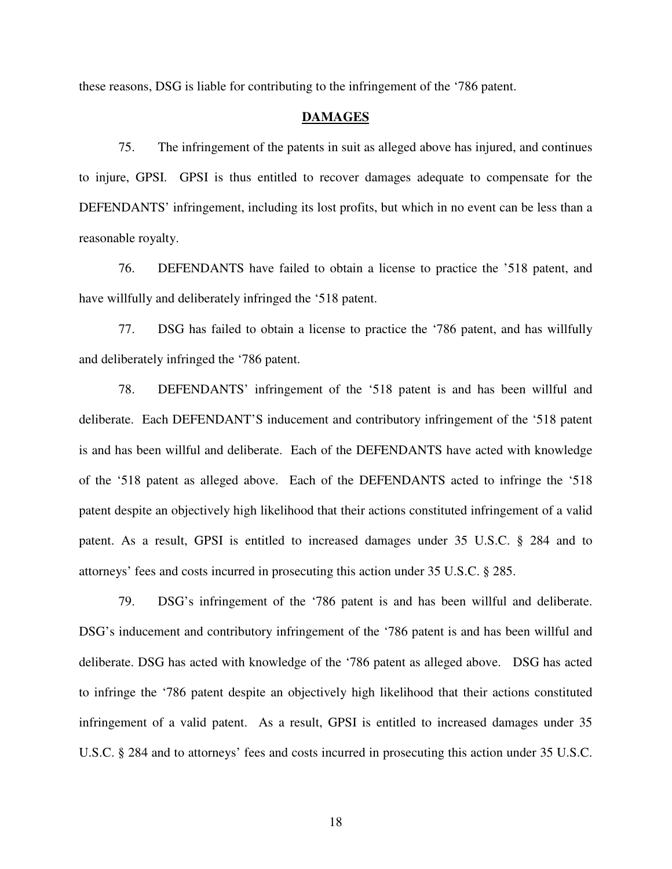these reasons, DSG is liable for contributing to the infringement of the '786 patent.

## **DAMAGES**

75. The infringement of the patents in suit as alleged above has injured, and continues to injure, GPSI. GPSI is thus entitled to recover damages adequate to compensate for the DEFENDANTS' infringement, including its lost profits, but which in no event can be less than a reasonable royalty.

76. DEFENDANTS have failed to obtain a license to practice the '518 patent, and have willfully and deliberately infringed the '518 patent.

77. DSG has failed to obtain a license to practice the '786 patent, and has willfully and deliberately infringed the '786 patent.

78. DEFENDANTS' infringement of the '518 patent is and has been willful and deliberate. Each DEFENDANT'S inducement and contributory infringement of the '518 patent is and has been willful and deliberate. Each of the DEFENDANTS have acted with knowledge of the '518 patent as alleged above. Each of the DEFENDANTS acted to infringe the '518 patent despite an objectively high likelihood that their actions constituted infringement of a valid patent. As a result, GPSI is entitled to increased damages under 35 U.S.C. § 284 and to attorneys' fees and costs incurred in prosecuting this action under 35 U.S.C. § 285.

79. DSG's infringement of the '786 patent is and has been willful and deliberate. DSG's inducement and contributory infringement of the '786 patent is and has been willful and deliberate. DSG has acted with knowledge of the '786 patent as alleged above. DSG has acted to infringe the '786 patent despite an objectively high likelihood that their actions constituted infringement of a valid patent. As a result, GPSI is entitled to increased damages under 35 U.S.C. § 284 and to attorneys' fees and costs incurred in prosecuting this action under 35 U.S.C.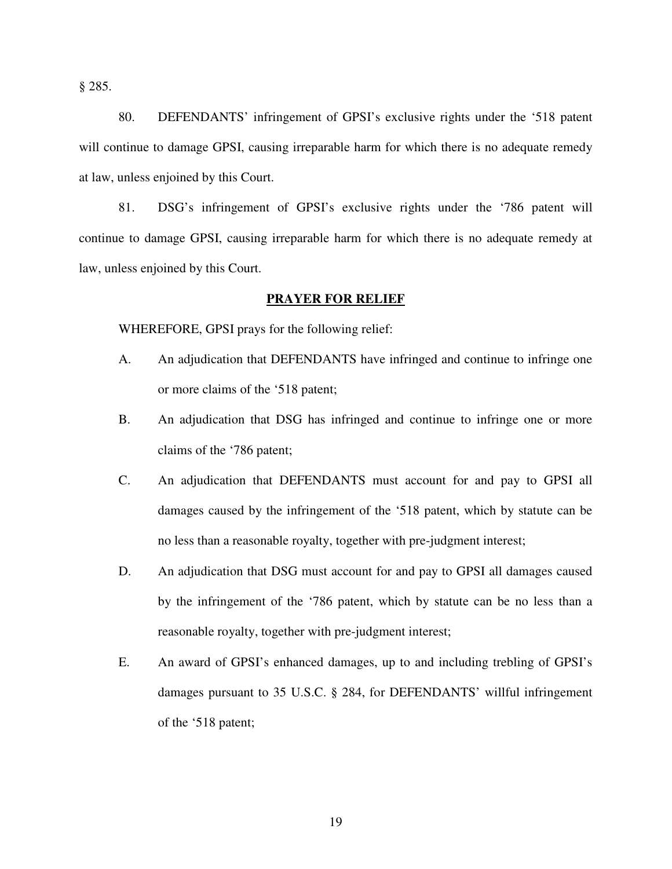§ 285.

80. DEFENDANTS' infringement of GPSI's exclusive rights under the '518 patent will continue to damage GPSI, causing irreparable harm for which there is no adequate remedy at law, unless enjoined by this Court.

81. DSG's infringement of GPSI's exclusive rights under the '786 patent will continue to damage GPSI, causing irreparable harm for which there is no adequate remedy at law, unless enjoined by this Court.

## **PRAYER FOR RELIEF**

WHEREFORE, GPSI prays for the following relief:

- A. An adjudication that DEFENDANTS have infringed and continue to infringe one or more claims of the '518 patent;
- B. An adjudication that DSG has infringed and continue to infringe one or more claims of the '786 patent;
- C. An adjudication that DEFENDANTS must account for and pay to GPSI all damages caused by the infringement of the '518 patent, which by statute can be no less than a reasonable royalty, together with pre-judgment interest;
- D. An adjudication that DSG must account for and pay to GPSI all damages caused by the infringement of the '786 patent, which by statute can be no less than a reasonable royalty, together with pre-judgment interest;
- E. An award of GPSI's enhanced damages, up to and including trebling of GPSI's damages pursuant to 35 U.S.C. § 284, for DEFENDANTS' willful infringement of the '518 patent;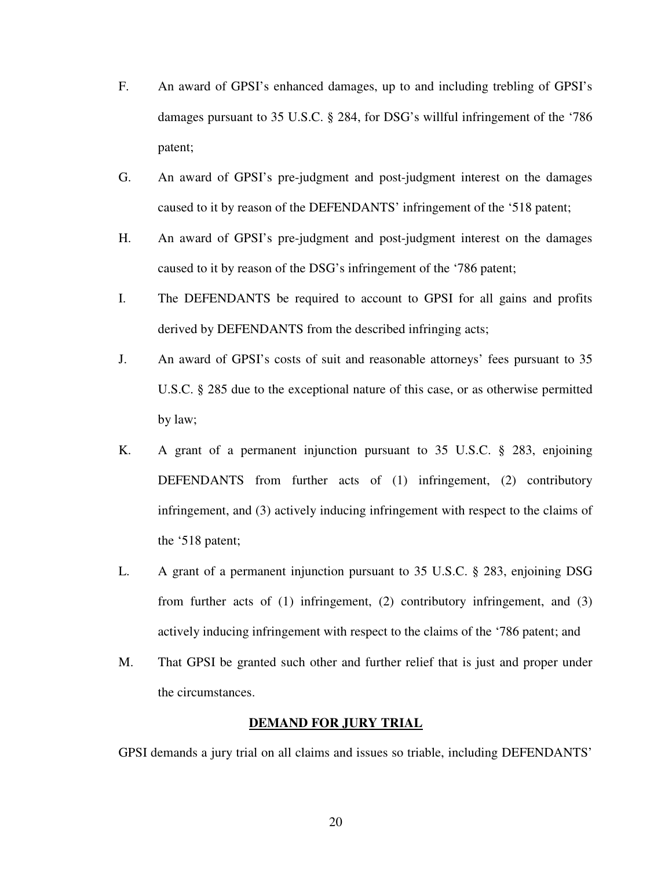- F. An award of GPSI's enhanced damages, up to and including trebling of GPSI's damages pursuant to 35 U.S.C. § 284, for DSG's willful infringement of the '786 patent;
- G. An award of GPSI's pre-judgment and post-judgment interest on the damages caused to it by reason of the DEFENDANTS' infringement of the '518 patent;
- H. An award of GPSI's pre-judgment and post-judgment interest on the damages caused to it by reason of the DSG's infringement of the '786 patent;
- I. The DEFENDANTS be required to account to GPSI for all gains and profits derived by DEFENDANTS from the described infringing acts;
- J. An award of GPSI's costs of suit and reasonable attorneys' fees pursuant to 35 U.S.C. § 285 due to the exceptional nature of this case, or as otherwise permitted by law;
- K. A grant of a permanent injunction pursuant to 35 U.S.C. § 283, enjoining DEFENDANTS from further acts of (1) infringement, (2) contributory infringement, and (3) actively inducing infringement with respect to the claims of the '518 patent;
- L. A grant of a permanent injunction pursuant to 35 U.S.C. § 283, enjoining DSG from further acts of (1) infringement, (2) contributory infringement, and (3) actively inducing infringement with respect to the claims of the '786 patent; and
- M. That GPSI be granted such other and further relief that is just and proper under the circumstances.

#### **DEMAND FOR JURY TRIAL**

GPSI demands a jury trial on all claims and issues so triable, including DEFENDANTS'